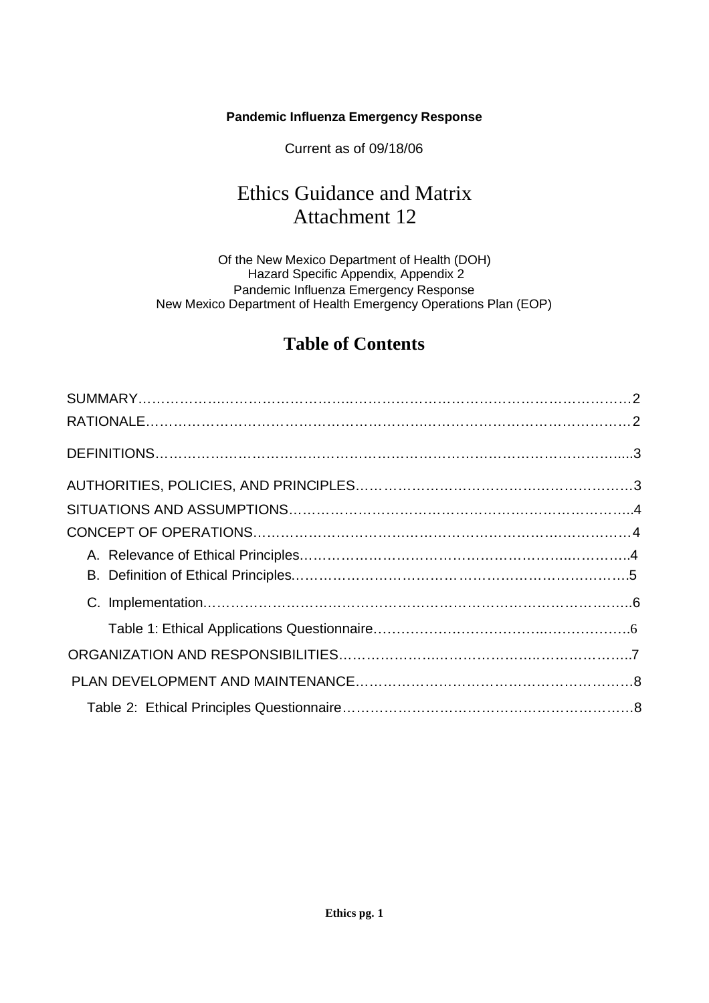#### **Pandemic Influenza Emergency Response**

Current as of 09/18/06

# Ethics Guidance and Matrix Attachment 12

Of the New Mexico Department of Health (DOH) Hazard Specific Appendix, Appendix 2 Pandemic Influenza Emergency Response New Mexico Department of Health Emergency Operations Plan (EOP)

## **Table of Contents**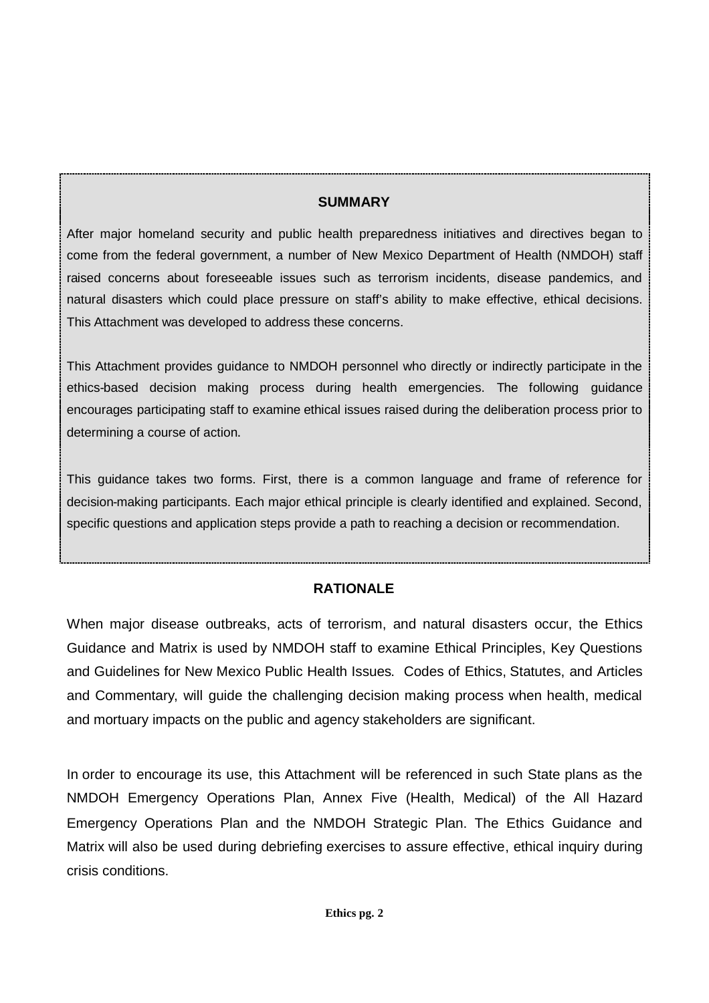#### **SUMMARY**

After major homeland security and public health preparedness initiatives and directives began to come from the federal government, a number of New Mexico Department of Health (NMDOH) staff raised concerns about foreseeable issues such as terrorism incidents, disease pandemics, and natural disasters which could place pressure on staff's ability to make effective, ethical decisions. This Attachment was developed to address these concerns.

This Attachment provides guidance to NMDOH personnel who directly or indirectly participate in the ethics-based decision making process during health emergencies. The following guidance encourages participating staff to examine ethical issues raised during the deliberation process prior to determining a course of action.

This guidance takes two forms. First, there is a common language and frame of reference for decision-making participants. Each major ethical principle is clearly identified and explained. Second, specific questions and application steps provide a path to reaching a decision or recommendation.

## **RATIONALE**

When major disease outbreaks, acts of terrorism, and natural disasters occur, the Ethics Guidance and Matrix is used by NMDOH staff to examine Ethical Principles, Key Questions and Guidelines for New Mexico Public Health Issues. Codes of Ethics, Statutes, and Articles and Commentary, will guide the challenging decision making process when health, medical and mortuary impacts on the public and agency stakeholders are significant.

In order to encourage its use, this Attachment will be referenced in such State plans as the NMDOH Emergency Operations Plan, Annex Five (Health, Medical) of the All Hazard Emergency Operations Plan and the NMDOH Strategic Plan. The Ethics Guidance and Matrix will also be used during debriefing exercises to assure effective, ethical inquiry during crisis conditions.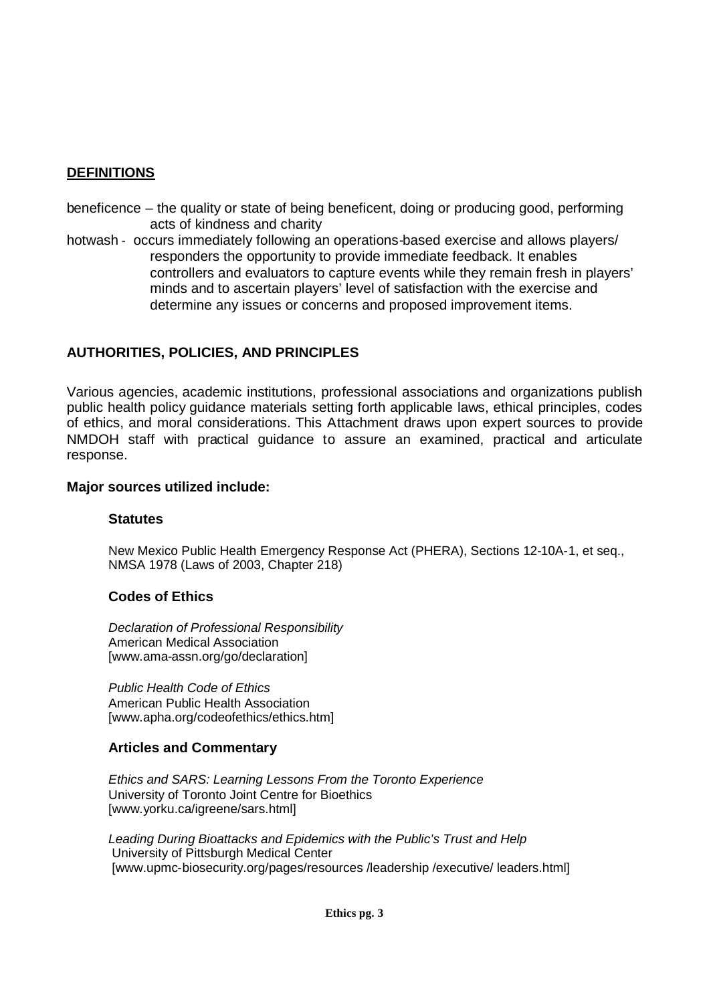#### **DEFINITIONS**

- beneficence the quality or state of being beneficent, doing or producing good, performing acts of kindness and charity
- hotwash occurs immediately following an operations-based exercise and allows players/ responders the opportunity to provide immediate feedback. It enables controllers and evaluators to capture events while they remain fresh in players' minds and to ascertain players' level of satisfaction with the exercise and determine any issues or concerns and proposed improvement items.

#### **AUTHORITIES, POLICIES, AND PRINCIPLES**

Various agencies, academic institutions, professional associations and organizations publish public health policy guidance materials setting forth applicable laws, ethical principles, codes of ethics, and moral considerations. This Attachment draws upon expert sources to provide NMDOH staff with practical guidance to assure an examined, practical and articulate response.

#### **Major sources utilized include:**

#### **Statutes**

New Mexico Public Health Emergency Response Act (PHERA), Sections 12-10A-1, et seq., NMSA 1978 (Laws of 2003, Chapter 218)

#### **Codes of Ethics**

*Declaration of Professional Responsibility* American Medical Association [www.ama-assn.org/go/declaration]

*Public Health Code of Ethics* American Public Health Association [www.apha.org/codeofethics/ethics.htm]

#### **Articles and Commentary**

*Ethics and SARS: Learning Lessons From the Toronto Experience* University of Toronto Joint Centre for Bioethics [www.yorku.ca/igreene/sars.html]

*Leading During Bioattacks and Epidemics with the Public's Trust and Help* University of Pittsburgh Medical Center [www.upmc-biosecurity.org/pages/resources /leadership /executive/ leaders.html]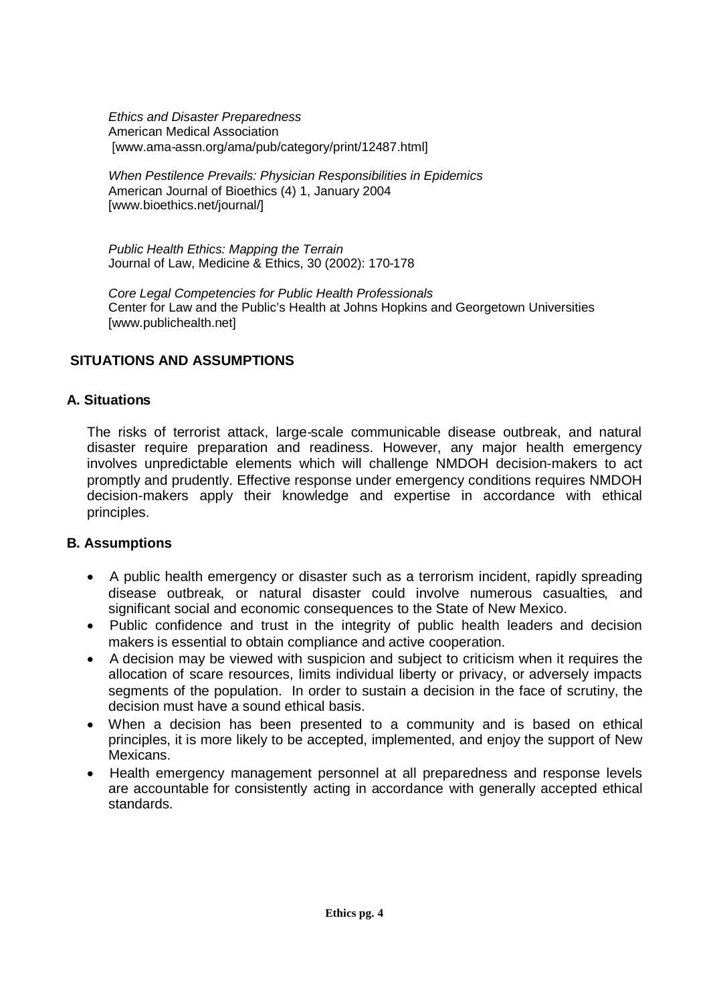*Ethics and Disaster Preparedness* American Medical Association [www.ama-assn.org/ama/pub/category/print/12487.html]

*When Pestilence Prevails: Physician Responsibilities in Epidemics* American Journal of Bioethics (4) 1, January 2004 [www.bioethics.net/journal/]

*Public Health Ethics: Mapping the Terrain* Journal of Law, Medicine & Ethics, 30 (2002): 170-178

*Core Legal Competencies for Public Health Professionals* Center for Law and the Public's Health at Johns Hopkins and Georgetown Universities [www.publichealth.net]

## **SITUATIONS AND ASSUMPTIONS**

#### **A. Situations**

The risks of terrorist attack, large-scale communicable disease outbreak, and natural disaster require preparation and readiness. However, any major health emergency involves unpredictable elements which will challenge NMDOH decision-makers to act promptly and prudently. Effective response under emergency conditions requires NMDOH decision-makers apply their knowledge and expertise in accordance with ethical principles.

## **B. Assumptions**

- A public health emergency or disaster such as a terrorism incident, rapidly spreading disease outbreak, or natural disaster could involve numerous casualties, and significant social and economic consequences to the State of New Mexico.
- Public confidence and trust in the integrity of public health leaders and decision makers is essential to obtain compliance and active cooperation.
- A decision may be viewed with suspicion and subject to criticism when it requires the allocation of scare resources, limits individual liberty or privacy, or adversely impacts segments of the population. In order to sustain a decision in the face of scrutiny, the decision must have a sound ethical basis.
- When a decision has been presented to a community and is based on ethical principles, it is more likely to be accepted, implemented, and enjoy the support of New Mexicans.
- Health emergency management personnel at all preparedness and response levels are accountable for consistently acting in accordance with generally accepted ethical standards.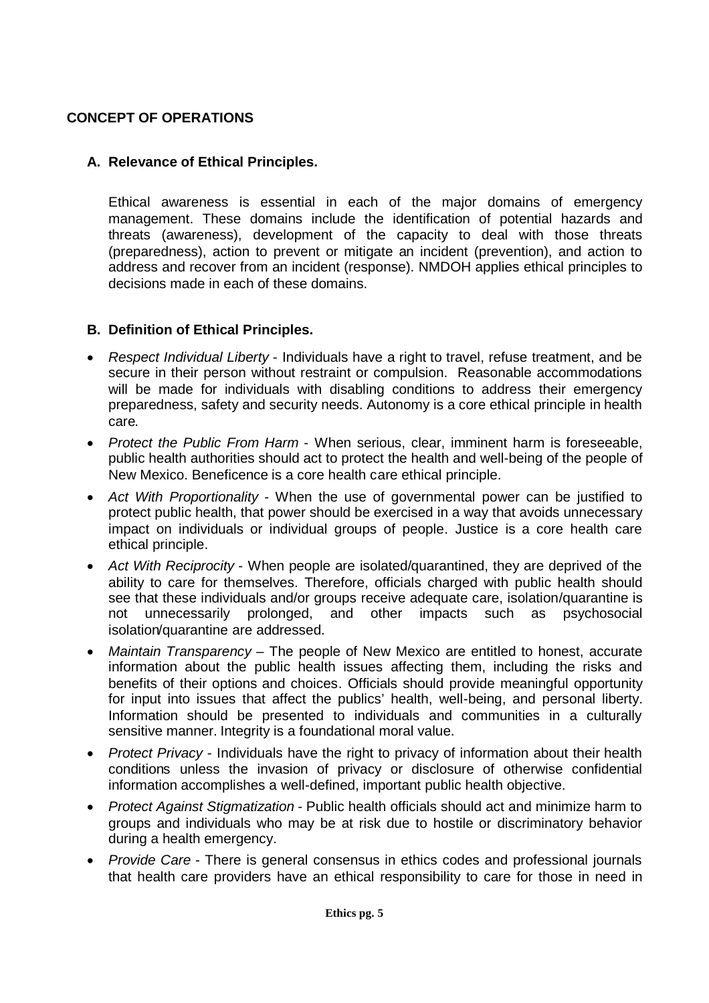## **CONCEPT OF OPERATIONS**

## **A. Relevance of Ethical Principles.**

Ethical awareness is essential in each of the major domains of emergency management. These domains include the identification of potential hazards and threats (awareness), development of the capacity to deal with those threats (preparedness), action to prevent or mitigate an incident (prevention), and action to address and recover from an incident (response). NMDOH applies ethical principles to decisions made in each of these domains.

#### **B. Definition of Ethical Principles.**

- *Respect Individual Liberty* Individuals have a right to travel, refuse treatment, and be secure in their person without restraint or compulsion. Reasonable accommodations will be made for individuals with disabling conditions to address their emergency preparedness, safety and security needs. Autonomy is a core ethical principle in health care.
- *Protect the Public From Harm* When serious, clear, imminent harm is foreseeable, public health authorities should act to protect the health and well-being of the people of New Mexico. Beneficence is a core health care ethical principle.
- *Act With Proportionality* When the use of governmental power can be justified to protect public health, that power should be exercised in a way that avoids unnecessary impact on individuals or individual groups of people. Justice is a core health care ethical principle.
- *Act With Reciprocity* When people are isolated/quarantined, they are deprived of the ability to care for themselves. Therefore, officials charged with public health should see that these individuals and/or groups receive adequate care, isolation/quarantine is not unnecessarily prolonged, and other impacts such as psychosocial isolation/quarantine are addressed.
- *Maintain Transparency* The people of New Mexico are entitled to honest, accurate information about the public health issues affecting them, including the risks and benefits of their options and choices. Officials should provide meaningful opportunity for input into issues that affect the publics' health, well-being, and personal liberty. Information should be presented to individuals and communities in a culturally sensitive manner. Integrity is a foundational moral value.
- *Protect Privacy* Individuals have the right to privacy of information about their health conditions unless the invasion of privacy or disclosure of otherwise confidential information accomplishes a well-defined, important public health objective.
- *Protect Against Stigmatization* Public health officials should act and minimize harm to groups and individuals who may be at risk due to hostile or discriminatory behavior during a health emergency.
- *Provide Care* There is general consensus in ethics codes and professional journals that health care providers have an ethical responsibility to care for those in need in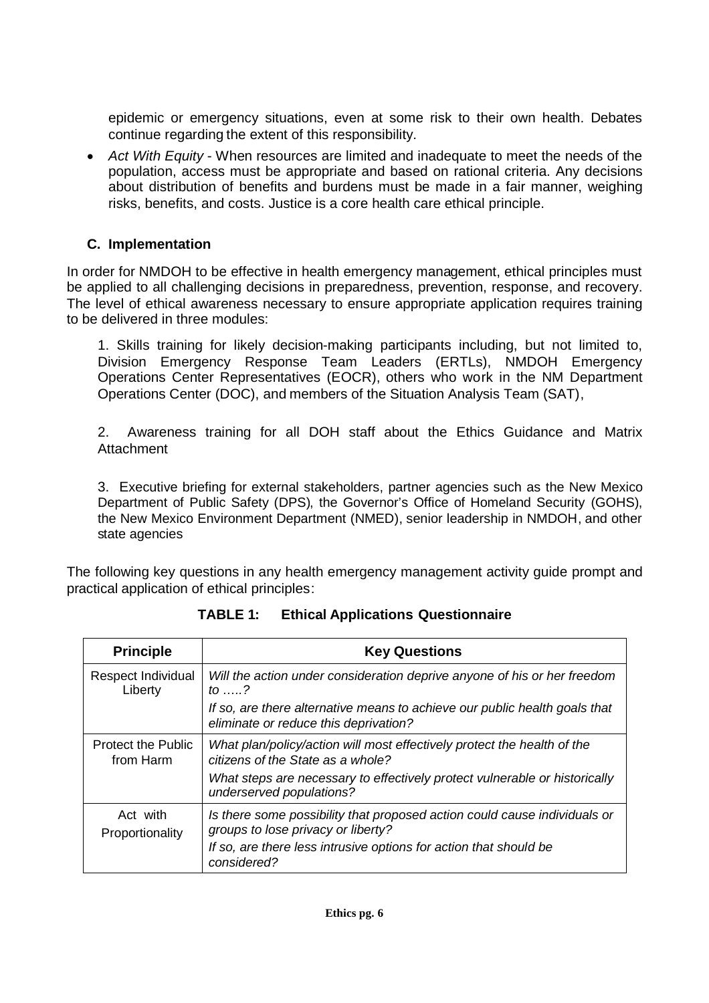epidemic or emergency situations, even at some risk to their own health. Debates continue regarding the extent of this responsibility.

 *Act With Equity* - When resources are limited and inadequate to meet the needs of the population, access must be appropriate and based on rational criteria. Any decisions about distribution of benefits and burdens must be made in a fair manner, weighing risks, benefits, and costs. Justice is a core health care ethical principle.

## **C. Implementation**

In order for NMDOH to be effective in health emergency management, ethical principles must be applied to all challenging decisions in preparedness, prevention, response, and recovery. The level of ethical awareness necessary to ensure appropriate application requires training to be delivered in three modules:

1. Skills training for likely decision-making participants including, but not limited to, Division Emergency Response Team Leaders (ERTLs), NMDOH Emergency Operations Center Representatives (EOCR), others who work in the NM Department Operations Center (DOC), and members of the Situation Analysis Team (SAT),

2. Awareness training for all DOH staff about the Ethics Guidance and Matrix **Attachment** 

3. Executive briefing for external stakeholders, partner agencies such as the New Mexico Department of Public Safety (DPS), the Governor's Office of Homeland Security (GOHS), the New Mexico Environment Department (NMED), senior leadership in NMDOH, and other state agencies

The following key questions in any health emergency management activity guide prompt and practical application of ethical principles:

| <b>Principle</b>                       | <b>Key Questions</b>                                                                                                |  |  |
|----------------------------------------|---------------------------------------------------------------------------------------------------------------------|--|--|
| Respect Individual<br>Liberty          | Will the action under consideration deprive anyone of his or her freedom<br>to $\ldots$ ?                           |  |  |
|                                        | If so, are there alternative means to achieve our public health goals that<br>eliminate or reduce this deprivation? |  |  |
| <b>Protect the Public</b><br>from Harm | What plan/policy/action will most effectively protect the health of the<br>citizens of the State as a whole?        |  |  |
|                                        | What steps are necessary to effectively protect vulnerable or historically<br>underserved populations?              |  |  |
| Act with<br>Proportionality            | Is there some possibility that proposed action could cause individuals or<br>groups to lose privacy or liberty?     |  |  |
|                                        | If so, are there less intrusive options for action that should be<br>considered?                                    |  |  |

**TABLE 1: Ethical Applications Questionnaire**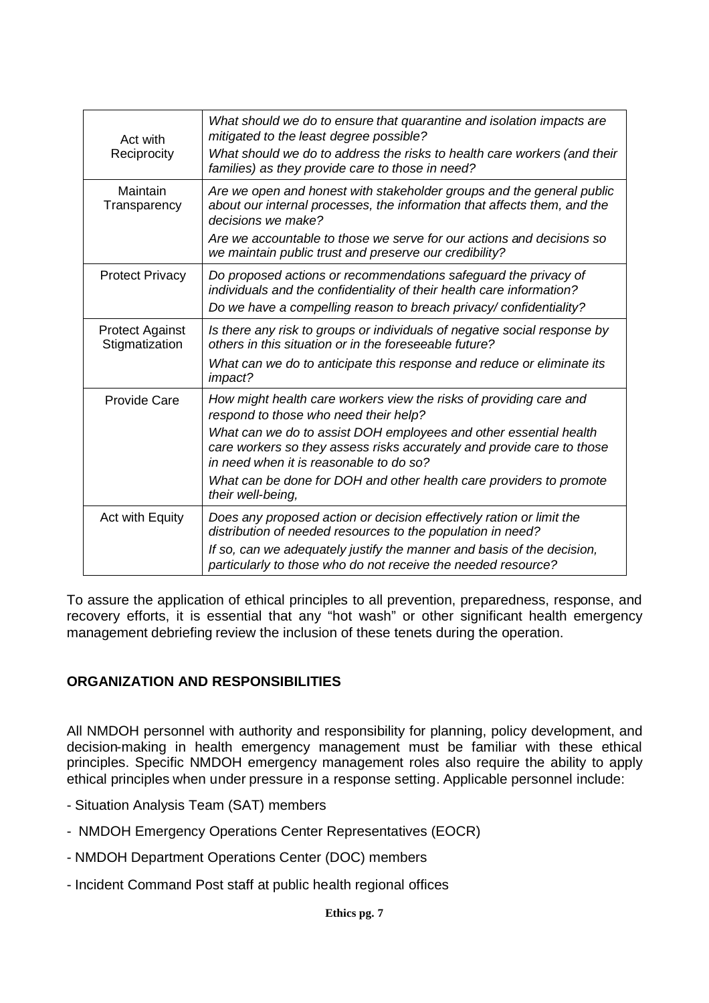| Act with<br>Reciprocity                  | What should we do to ensure that quarantine and isolation impacts are<br>mitigated to the least degree possible?<br>What should we do to address the risks to health care workers (and their<br>families) as they provide care to those in need? |
|------------------------------------------|--------------------------------------------------------------------------------------------------------------------------------------------------------------------------------------------------------------------------------------------------|
| Maintain<br>Transparency                 | Are we open and honest with stakeholder groups and the general public<br>about our internal processes, the information that affects them, and the<br>decisions we make?                                                                          |
|                                          | Are we accountable to those we serve for our actions and decisions so<br>we maintain public trust and preserve our credibility?                                                                                                                  |
| <b>Protect Privacy</b>                   | Do proposed actions or recommendations safeguard the privacy of<br>individuals and the confidentiality of their health care information?                                                                                                         |
|                                          | Do we have a compelling reason to breach privacy/confidentiality?                                                                                                                                                                                |
| <b>Protect Against</b><br>Stigmatization | Is there any risk to groups or individuals of negative social response by<br>others in this situation or in the foreseeable future?                                                                                                              |
|                                          | What can we do to anticipate this response and reduce or eliminate its<br>impact?                                                                                                                                                                |
| Provide Care                             | How might health care workers view the risks of providing care and<br>respond to those who need their help?                                                                                                                                      |
|                                          | What can we do to assist DOH employees and other essential health<br>care workers so they assess risks accurately and provide care to those<br>in need when it is reasonable to do so?                                                           |
|                                          | What can be done for DOH and other health care providers to promote<br>their well-being,                                                                                                                                                         |
| Act with Equity                          | Does any proposed action or decision effectively ration or limit the<br>distribution of needed resources to the population in need?                                                                                                              |
|                                          | If so, can we adequately justify the manner and basis of the decision,<br>particularly to those who do not receive the needed resource?                                                                                                          |

To assure the application of ethical principles to all prevention, preparedness, response, and recovery efforts, it is essential that any "hot wash" or other significant health emergency management debriefing review the inclusion of these tenets during the operation.

## **ORGANIZATION AND RESPONSIBILITIES**

All NMDOH personnel with authority and responsibility for planning, policy development, and decision-making in health emergency management must be familiar with these ethical principles. Specific NMDOH emergency management roles also require the ability to apply ethical principles when under pressure in a response setting. Applicable personnel include:

- Situation Analysis Team (SAT) members
- NMDOH Emergency Operations Center Representatives (EOCR)
- NMDOH Department Operations Center (DOC) members
- Incident Command Post staff at public health regional offices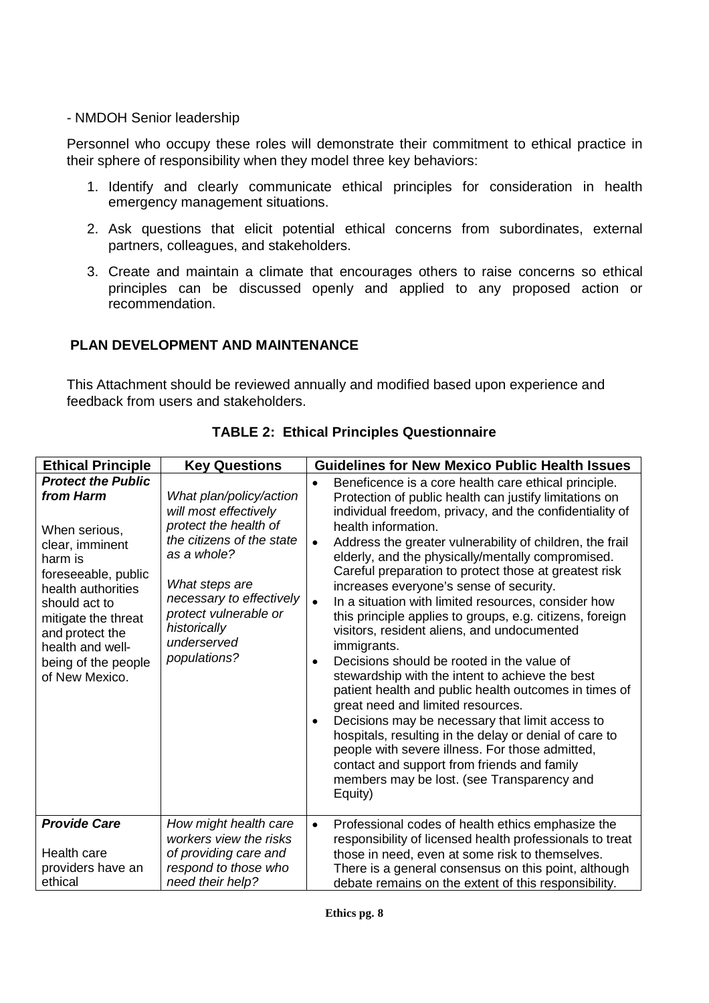#### - NMDOH Senior leadership

Personnel who occupy these roles will demonstrate their commitment to ethical practice in their sphere of responsibility when they model three key behaviors:

- 1. Identify and clearly communicate ethical principles for consideration in health emergency management situations.
- 2. Ask questions that elicit potential ethical concerns from subordinates, external partners, colleagues, and stakeholders.
- 3. Create and maintain a climate that encourages others to raise concerns so ethical principles can be discussed openly and applied to any proposed action or recommendation.

#### **PLAN DEVELOPMENT AND MAINTENANCE**

This Attachment should be reviewed annually and modified based upon experience and feedback from users and stakeholders.

| <b>Ethical Principle</b>                                                                                                                                                                                                                                   | <b>Key Questions</b>                                                                                                                                                                                                                        | <b>Guidelines for New Mexico Public Health Issues</b>                                                                                                                                                                                                                                                                                                                                                                                                                                                                                                                                                                                                                                                                                                                                                                                                                                                                                                                                                                                                                                                                                          |
|------------------------------------------------------------------------------------------------------------------------------------------------------------------------------------------------------------------------------------------------------------|---------------------------------------------------------------------------------------------------------------------------------------------------------------------------------------------------------------------------------------------|------------------------------------------------------------------------------------------------------------------------------------------------------------------------------------------------------------------------------------------------------------------------------------------------------------------------------------------------------------------------------------------------------------------------------------------------------------------------------------------------------------------------------------------------------------------------------------------------------------------------------------------------------------------------------------------------------------------------------------------------------------------------------------------------------------------------------------------------------------------------------------------------------------------------------------------------------------------------------------------------------------------------------------------------------------------------------------------------------------------------------------------------|
| <b>Protect the Public</b><br>from Harm<br>When serious,<br>clear, imminent<br>harm is<br>foreseeable, public<br>health authorities<br>should act to<br>mitigate the threat<br>and protect the<br>health and well-<br>being of the people<br>of New Mexico. | What plan/policy/action<br>will most effectively<br>protect the health of<br>the citizens of the state<br>as a whole?<br>What steps are<br>necessary to effectively<br>protect vulnerable or<br>historically<br>underserved<br>populations? | Beneficence is a core health care ethical principle.<br>$\bullet$<br>Protection of public health can justify limitations on<br>individual freedom, privacy, and the confidentiality of<br>health information.<br>Address the greater vulnerability of children, the frail<br>$\bullet$<br>elderly, and the physically/mentally compromised.<br>Careful preparation to protect those at greatest risk<br>increases everyone's sense of security.<br>In a situation with limited resources, consider how<br>$\bullet$<br>this principle applies to groups, e.g. citizens, foreign<br>visitors, resident aliens, and undocumented<br>immigrants.<br>Decisions should be rooted in the value of<br>$\bullet$<br>stewardship with the intent to achieve the best<br>patient health and public health outcomes in times of<br>great need and limited resources.<br>Decisions may be necessary that limit access to<br>$\bullet$<br>hospitals, resulting in the delay or denial of care to<br>people with severe illness. For those admitted,<br>contact and support from friends and family<br>members may be lost. (see Transparency and<br>Equity) |
| <b>Provide Care</b><br>Health care<br>providers have an<br>ethical                                                                                                                                                                                         | How might health care<br>workers view the risks<br>of providing care and<br>respond to those who<br>need their help?                                                                                                                        | Professional codes of health ethics emphasize the<br>$\bullet$<br>responsibility of licensed health professionals to treat<br>those in need, even at some risk to themselves.<br>There is a general consensus on this point, although<br>debate remains on the extent of this responsibility.                                                                                                                                                                                                                                                                                                                                                                                                                                                                                                                                                                                                                                                                                                                                                                                                                                                  |

**TABLE 2: Ethical Principles Questionnaire**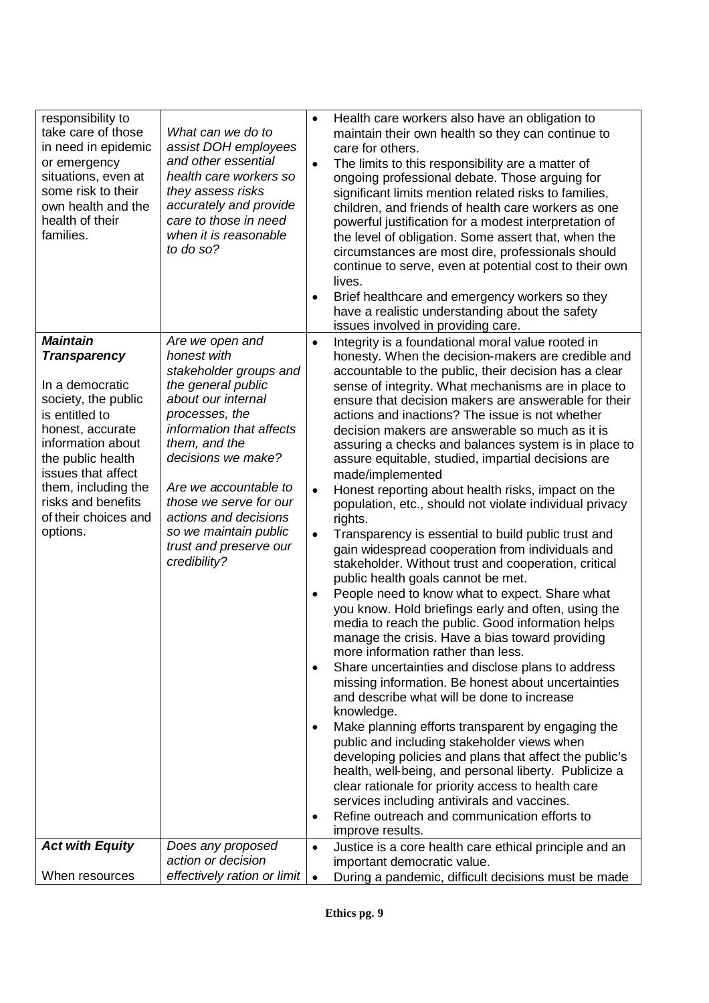| responsibility to<br>take care of those<br>in need in epidemic<br>or emergency<br>situations, even at<br>some risk to their<br>own health and the<br>health of their<br>families.                                                                                       | What can we do to<br>assist DOH employees<br>and other essential<br>health care workers so<br>they assess risks<br>accurately and provide<br>care to those in need<br>when it is reasonable<br>to do so?                                                                                                                                 | $\bullet$<br>$\bullet$                                                     | Health care workers also have an obligation to<br>maintain their own health so they can continue to<br>care for others.<br>The limits to this responsibility are a matter of<br>ongoing professional debate. Those arguing for<br>significant limits mention related risks to families,<br>children, and friends of health care workers as one<br>powerful justification for a modest interpretation of<br>the level of obligation. Some assert that, when the<br>circumstances are most dire, professionals should                                                                                                                                                                                                                                                                                                                                                                                                                                                                                                                                                                                                                                                                                                                                                                                                                                                                                                                                                                                                                                                                                                                                                                        |
|-------------------------------------------------------------------------------------------------------------------------------------------------------------------------------------------------------------------------------------------------------------------------|------------------------------------------------------------------------------------------------------------------------------------------------------------------------------------------------------------------------------------------------------------------------------------------------------------------------------------------|----------------------------------------------------------------------------|--------------------------------------------------------------------------------------------------------------------------------------------------------------------------------------------------------------------------------------------------------------------------------------------------------------------------------------------------------------------------------------------------------------------------------------------------------------------------------------------------------------------------------------------------------------------------------------------------------------------------------------------------------------------------------------------------------------------------------------------------------------------------------------------------------------------------------------------------------------------------------------------------------------------------------------------------------------------------------------------------------------------------------------------------------------------------------------------------------------------------------------------------------------------------------------------------------------------------------------------------------------------------------------------------------------------------------------------------------------------------------------------------------------------------------------------------------------------------------------------------------------------------------------------------------------------------------------------------------------------------------------------------------------------------------------------|
|                                                                                                                                                                                                                                                                         |                                                                                                                                                                                                                                                                                                                                          | $\bullet$                                                                  | continue to serve, even at potential cost to their own<br>lives.<br>Brief healthcare and emergency workers so they<br>have a realistic understanding about the safety<br>issues involved in providing care.                                                                                                                                                                                                                                                                                                                                                                                                                                                                                                                                                                                                                                                                                                                                                                                                                                                                                                                                                                                                                                                                                                                                                                                                                                                                                                                                                                                                                                                                                |
| <b>Maintain</b><br><b>Transparency</b><br>In a democratic<br>society, the public<br>is entitled to<br>honest, accurate<br>information about<br>the public health<br>issues that affect<br>them, including the<br>risks and benefits<br>of their choices and<br>options. | Are we open and<br>honest with<br>stakeholder groups and<br>the general public<br>about our internal<br>processes, the<br>information that affects<br>them, and the<br>decisions we make?<br>Are we accountable to<br>those we serve for our<br>actions and decisions<br>so we maintain public<br>trust and preserve our<br>credibility? | $\bullet$<br>$\bullet$<br>$\bullet$<br>$\bullet$<br>$\bullet$<br>$\bullet$ | Integrity is a foundational moral value rooted in<br>honesty. When the decision-makers are credible and<br>accountable to the public, their decision has a clear<br>sense of integrity. What mechanisms are in place to<br>ensure that decision makers are answerable for their<br>actions and inactions? The issue is not whether<br>decision makers are answerable so much as it is<br>assuring a checks and balances system is in place to<br>assure equitable, studied, impartial decisions are<br>made/implemented<br>Honest reporting about health risks, impact on the<br>population, etc., should not violate individual privacy<br>rights.<br>Transparency is essential to build public trust and<br>gain widespread cooperation from individuals and<br>stakeholder. Without trust and cooperation, critical<br>public health goals cannot be met.<br>People need to know what to expect. Share what<br>you know. Hold briefings early and often, using the<br>media to reach the public. Good information helps<br>manage the crisis. Have a bias toward providing<br>more information rather than less.<br>Share uncertainties and disclose plans to address<br>missing information. Be honest about uncertainties<br>and describe what will be done to increase<br>knowledge.<br>Make planning efforts transparent by engaging the<br>public and including stakeholder views when<br>developing policies and plans that affect the public's<br>health, well-being, and personal liberty. Publicize a<br>clear rationale for priority access to health care<br>services including antivirals and vaccines.<br>Refine outreach and communication efforts to<br>improve results. |
| <b>Act with Equity</b>                                                                                                                                                                                                                                                  | Does any proposed<br>action or decision                                                                                                                                                                                                                                                                                                  | $\bullet$                                                                  | Justice is a core health care ethical principle and an<br>important democratic value.                                                                                                                                                                                                                                                                                                                                                                                                                                                                                                                                                                                                                                                                                                                                                                                                                                                                                                                                                                                                                                                                                                                                                                                                                                                                                                                                                                                                                                                                                                                                                                                                      |
| When resources                                                                                                                                                                                                                                                          | effectively ration or limit                                                                                                                                                                                                                                                                                                              | $\bullet$                                                                  | During a pandemic, difficult decisions must be made                                                                                                                                                                                                                                                                                                                                                                                                                                                                                                                                                                                                                                                                                                                                                                                                                                                                                                                                                                                                                                                                                                                                                                                                                                                                                                                                                                                                                                                                                                                                                                                                                                        |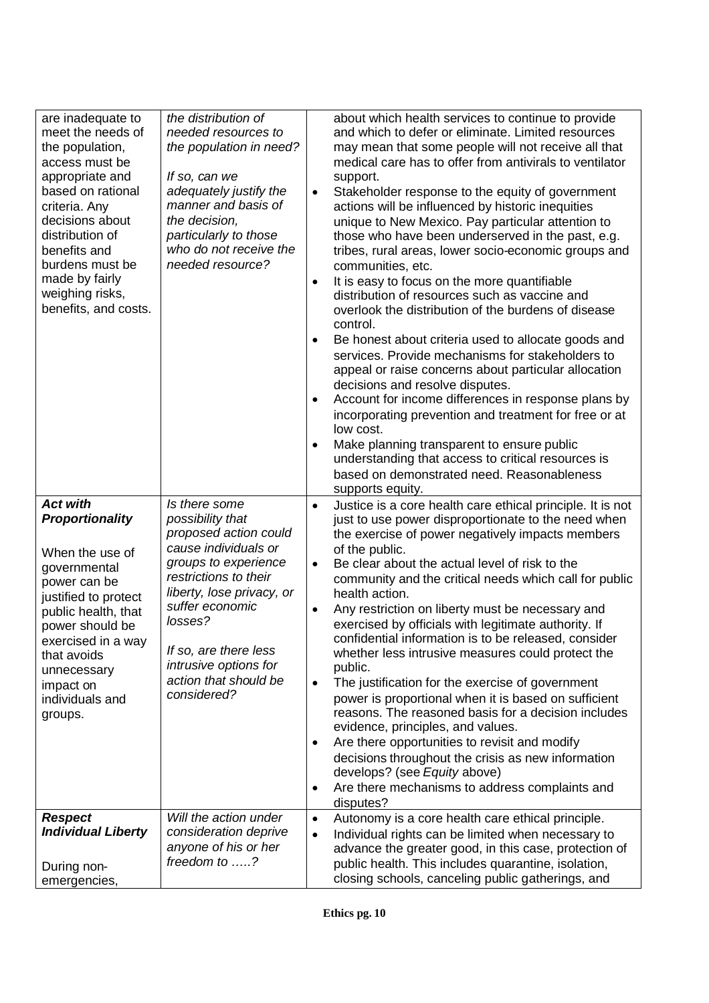| are inadequate to<br>meet the needs of<br>the population,<br>access must be<br>appropriate and<br>based on rational<br>criteria. Any<br>decisions about<br>distribution of<br>benefits and<br>burdens must be<br>made by fairly<br>weighing risks,<br>benefits, and costs. | the distribution of<br>needed resources to<br>the population in need?<br>If so, can we<br>adequately justify the<br>manner and basis of<br>the decision,<br>particularly to those<br>who do not receive the<br>needed resource?                                                          | $\bullet$<br>$\bullet$<br>$\bullet$                   | about which health services to continue to provide<br>and which to defer or eliminate. Limited resources<br>may mean that some people will not receive all that<br>medical care has to offer from antivirals to ventilator<br>support.<br>Stakeholder response to the equity of government<br>actions will be influenced by historic inequities<br>unique to New Mexico. Pay particular attention to<br>those who have been underserved in the past, e.g.<br>tribes, rural areas, lower socio-economic groups and<br>communities, etc.<br>It is easy to focus on the more quantifiable<br>distribution of resources such as vaccine and<br>overlook the distribution of the burdens of disease<br>control.<br>Be honest about criteria used to allocate goods and<br>services. Provide mechanisms for stakeholders to<br>appeal or raise concerns about particular allocation<br>decisions and resolve disputes.<br>Account for income differences in response plans by<br>incorporating prevention and treatment for free or at<br>low cost.<br>Make planning transparent to ensure public<br>understanding that access to critical resources is<br>based on demonstrated need. Reasonableness<br>supports equity. |
|----------------------------------------------------------------------------------------------------------------------------------------------------------------------------------------------------------------------------------------------------------------------------|------------------------------------------------------------------------------------------------------------------------------------------------------------------------------------------------------------------------------------------------------------------------------------------|-------------------------------------------------------|---------------------------------------------------------------------------------------------------------------------------------------------------------------------------------------------------------------------------------------------------------------------------------------------------------------------------------------------------------------------------------------------------------------------------------------------------------------------------------------------------------------------------------------------------------------------------------------------------------------------------------------------------------------------------------------------------------------------------------------------------------------------------------------------------------------------------------------------------------------------------------------------------------------------------------------------------------------------------------------------------------------------------------------------------------------------------------------------------------------------------------------------------------------------------------------------------------------------|
| <b>Act with</b><br>Proportionality<br>When the use of<br>governmental<br>power can be<br>justified to protect<br>public health, that<br>power should be<br>exercised in a way<br>that avoids<br>unnecessary<br>impact on<br>individuals and<br>groups.                     | Is there some<br>possibility that<br>proposed action could<br>cause individuals or<br>groups to experience<br>restrictions to their<br>liberty, lose privacy, or<br>suffer economic<br>losses?<br>If so, are there less<br>intrusive options for<br>action that should be<br>considered? | $\bullet$<br>$\bullet$<br>٠<br>$\bullet$<br>$\bullet$ | Justice is a core health care ethical principle. It is not<br>just to use power disproportionate to the need when<br>the exercise of power negatively impacts members<br>of the public.<br>Be clear about the actual level of risk to the<br>community and the critical needs which call for public<br>health action.<br>Any restriction on liberty must be necessary and<br>exercised by officials with legitimate authority. If<br>confidential information is to be released, consider<br>whether less intrusive measures could protect the<br>public.<br>The justification for the exercise of government<br>power is proportional when it is based on sufficient<br>reasons. The reasoned basis for a decision includes<br>evidence, principles, and values.<br>Are there opportunities to revisit and modify<br>decisions throughout the crisis as new information<br>develops? (see Equity above)<br>Are there mechanisms to address complaints and<br>disputes?                                                                                                                                                                                                                                             |
| <b>Respect</b><br><b>Individual Liberty</b><br>During non-<br>emergencies,                                                                                                                                                                                                 | Will the action under<br>consideration deprive<br>anyone of his or her<br>freedom to ?                                                                                                                                                                                                   | $\bullet$<br>$\bullet$                                | Autonomy is a core health care ethical principle.<br>Individual rights can be limited when necessary to<br>advance the greater good, in this case, protection of<br>public health. This includes quarantine, isolation,<br>closing schools, canceling public gatherings, and                                                                                                                                                                                                                                                                                                                                                                                                                                                                                                                                                                                                                                                                                                                                                                                                                                                                                                                                        |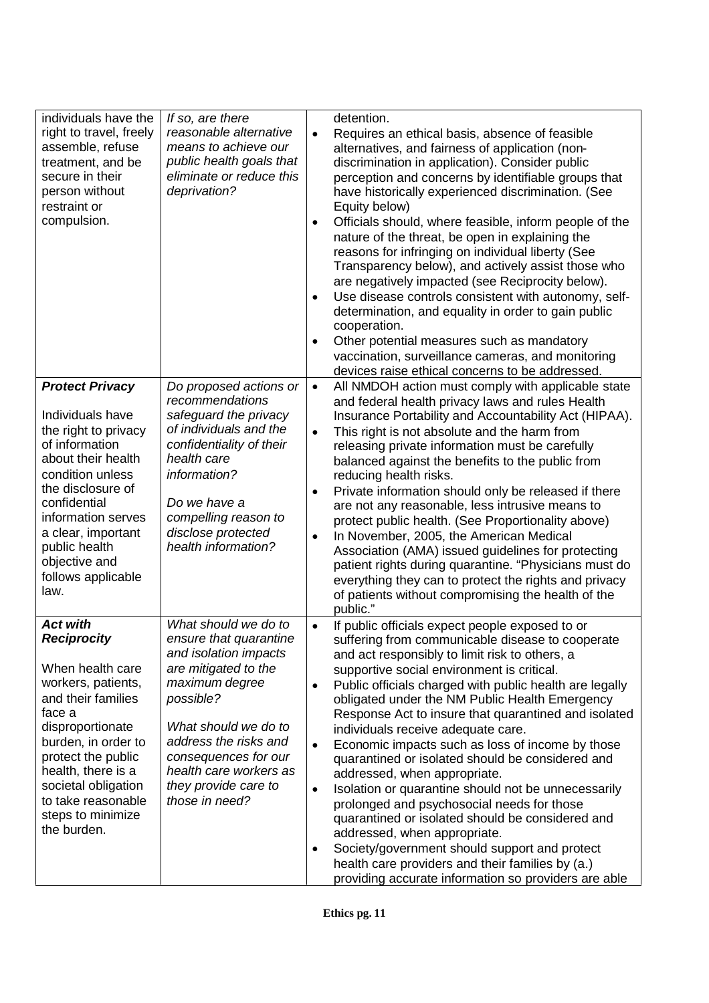| individuals have the<br>right to travel, freely<br>assemble, refuse<br>treatment, and be<br>secure in their<br>person without<br>restraint or<br>compulsion.<br><b>Protect Privacy</b><br>Individuals have<br>the right to privacy<br>of information | If so, are there<br>reasonable alternative<br>means to achieve our<br>public health goals that<br>eliminate or reduce this<br>deprivation?<br>Do proposed actions or<br>recommendations<br>safeguard the privacy<br>of individuals and the<br>confidentiality of their | $\bullet$<br>$\bullet$<br>$\bullet$<br>$\bullet$<br>$\bullet$<br>$\bullet$ | detention.<br>Requires an ethical basis, absence of feasible<br>alternatives, and fairness of application (non-<br>discrimination in application). Consider public<br>perception and concerns by identifiable groups that<br>have historically experienced discrimination. (See<br>Equity below)<br>Officials should, where feasible, inform people of the<br>nature of the threat, be open in explaining the<br>reasons for infringing on individual liberty (See<br>Transparency below), and actively assist those who<br>are negatively impacted (see Reciprocity below).<br>Use disease controls consistent with autonomy, self-<br>determination, and equality in order to gain public<br>cooperation.<br>Other potential measures such as mandatory<br>vaccination, surveillance cameras, and monitoring<br>devices raise ethical concerns to be addressed.<br>All NMDOH action must comply with applicable state<br>and federal health privacy laws and rules Health<br>Insurance Portability and Accountability Act (HIPAA).<br>This right is not absolute and the harm from<br>releasing private information must be carefully |
|------------------------------------------------------------------------------------------------------------------------------------------------------------------------------------------------------------------------------------------------------|------------------------------------------------------------------------------------------------------------------------------------------------------------------------------------------------------------------------------------------------------------------------|----------------------------------------------------------------------------|-----------------------------------------------------------------------------------------------------------------------------------------------------------------------------------------------------------------------------------------------------------------------------------------------------------------------------------------------------------------------------------------------------------------------------------------------------------------------------------------------------------------------------------------------------------------------------------------------------------------------------------------------------------------------------------------------------------------------------------------------------------------------------------------------------------------------------------------------------------------------------------------------------------------------------------------------------------------------------------------------------------------------------------------------------------------------------------------------------------------------------------------|
| about their health<br>condition unless                                                                                                                                                                                                               | health care<br>information?                                                                                                                                                                                                                                            |                                                                            | balanced against the benefits to the public from<br>reducing health risks.                                                                                                                                                                                                                                                                                                                                                                                                                                                                                                                                                                                                                                                                                                                                                                                                                                                                                                                                                                                                                                                              |
| the disclosure of<br>confidential<br>information serves<br>a clear, important<br>public health<br>objective and<br>follows applicable<br>law.                                                                                                        | Do we have a<br>compelling reason to<br>disclose protected<br>health information?                                                                                                                                                                                      | $\bullet$<br>$\bullet$                                                     | Private information should only be released if there<br>are not any reasonable, less intrusive means to<br>protect public health. (See Proportionality above)<br>In November, 2005, the American Medical<br>Association (AMA) issued guidelines for protecting<br>patient rights during quarantine. "Physicians must do<br>everything they can to protect the rights and privacy<br>of patients without compromising the health of the<br>public."                                                                                                                                                                                                                                                                                                                                                                                                                                                                                                                                                                                                                                                                                      |
| <b>Act with</b><br><b>Reciprocity</b>                                                                                                                                                                                                                | What should we do to<br>ensure that quarantine<br>and isolation impacts                                                                                                                                                                                                | $\bullet$                                                                  | If public officials expect people exposed to or<br>suffering from communicable disease to cooperate<br>and act responsibly to limit risk to others, a                                                                                                                                                                                                                                                                                                                                                                                                                                                                                                                                                                                                                                                                                                                                                                                                                                                                                                                                                                                   |
| When health care<br>workers, patients,<br>and their families<br>face a<br>disproportionate<br>burden, in order to<br>protect the public<br>health, there is a<br>societal obligation<br>to take reasonable<br>steps to minimize<br>the burden.       | are mitigated to the<br>maximum degree<br>possible?<br>What should we do to<br>address the risks and<br>consequences for our<br>health care workers as<br>they provide care to<br>those in need?                                                                       | ٠<br>$\bullet$<br>$\bullet$                                                | supportive social environment is critical.<br>Public officials charged with public health are legally<br>obligated under the NM Public Health Emergency<br>Response Act to insure that quarantined and isolated<br>individuals receive adequate care.<br>Economic impacts such as loss of income by those<br>quarantined or isolated should be considered and<br>addressed, when appropriate.<br>Isolation or quarantine should not be unnecessarily<br>prolonged and psychosocial needs for those<br>quarantined or isolated should be considered and<br>addressed, when appropriate.                                                                                                                                                                                                                                                                                                                                                                                                                                                                                                                                                  |
|                                                                                                                                                                                                                                                      |                                                                                                                                                                                                                                                                        | $\bullet$                                                                  | Society/government should support and protect<br>health care providers and their families by (a.)<br>providing accurate information so providers are able                                                                                                                                                                                                                                                                                                                                                                                                                                                                                                                                                                                                                                                                                                                                                                                                                                                                                                                                                                               |